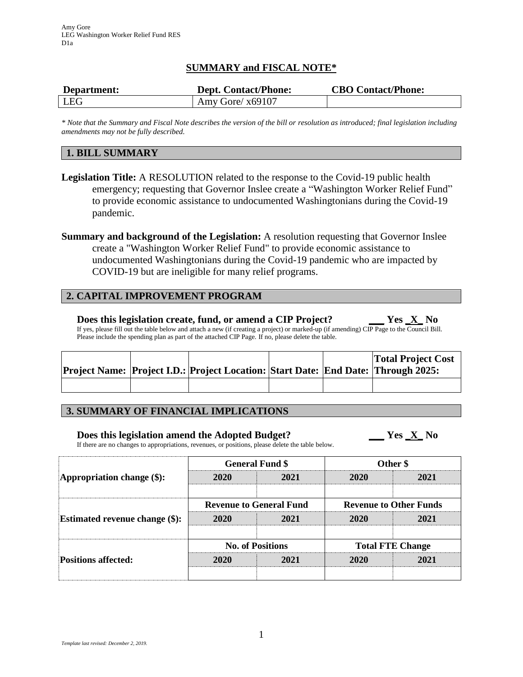# **SUMMARY and FISCAL NOTE\***

| Department: | <b>Dept. Contact/Phone:</b> | <b>CBO Contact/Phone:</b> |
|-------------|-----------------------------|---------------------------|
| LEG         | Amy Gore/ $x69107$          |                           |

*\* Note that the Summary and Fiscal Note describes the version of the bill or resolution as introduced; final legislation including amendments may not be fully described.*

## **1. BILL SUMMARY**

- **Legislation Title:** A RESOLUTION related to the response to the Covid-19 public health emergency; requesting that Governor Inslee create a "Washington Worker Relief Fund" to provide economic assistance to undocumented Washingtonians during the Covid-19 pandemic.
- **Summary and background of the Legislation:** A resolution requesting that Governor Inslee create a "Washington Worker Relief Fund" to provide economic assistance to undocumented Washingtonians during the Covid-19 pandemic who are impacted by COVID-19 but are ineligible for many relief programs.

## **2. CAPITAL IMPROVEMENT PROGRAM**

**Does this legislation create, fund, or amend a CIP Project? \_\_\_ Yes \_X\_ No** If yes, please fill out the table below and attach a new (if creating a project) or marked-up (if amending) CIP Page to the Council Bill. Please include the spending plan as part of the attached CIP Page. If no, please delete the table.

|  | Project Name: Project I.D.: Project Location: Start Date: End Date: Through 2025: |  | <b>Total Project Cost</b> |
|--|-----------------------------------------------------------------------------------|--|---------------------------|
|  |                                                                                   |  |                           |

# **3. SUMMARY OF FINANCIAL IMPLICATIONS**

# **Does this legislation amend the Adopted Budget? \_\_\_ Yes \_X\_ No**

If there are no changes to appropriations, revenues, or positions, please delete the table below.

| Appropriation change (\$):                                          |                                | <b>General Fund \$</b> | Other \$                      |      |  |
|---------------------------------------------------------------------|--------------------------------|------------------------|-------------------------------|------|--|
|                                                                     | 2020                           | 2021                   | 2020                          | 2021 |  |
| <b>Estimated revenue change (\$):</b><br><b>Positions affected:</b> | <b>Revenue to General Fund</b> |                        | <b>Revenue to Other Funds</b> |      |  |
|                                                                     | 2020                           | 2021                   | 2020                          | 2021 |  |
|                                                                     | <b>No. of Positions</b>        |                        | <b>Total FTE Change</b>       |      |  |
|                                                                     | 2020                           | 2021                   | 2020                          | 2021 |  |
|                                                                     |                                |                        |                               |      |  |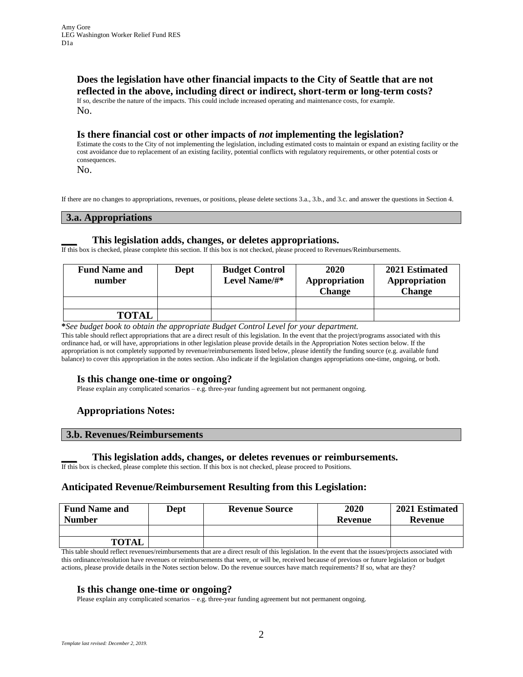# **Does the legislation have other financial impacts to the City of Seattle that are not reflected in the above, including direct or indirect, short-term or long-term costs?**

If so, describe the nature of the impacts. This could include increased operating and maintenance costs, for example. No.

## **Is there financial cost or other impacts of** *not* **implementing the legislation?**

Estimate the costs to the City of not implementing the legislation, including estimated costs to maintain or expand an existing facility or the cost avoidance due to replacement of an existing facility, potential conflicts with regulatory requirements, or other potential costs or consequences.

No.

If there are no changes to appropriations, revenues, or positions, please delete sections 3.a., 3.b., and 3.c. and answer the questions in Section 4.

#### **3.a. Appropriations**

#### **\_\_\_ This legislation adds, changes, or deletes appropriations.**

If this box is checked, please complete this section. If this box is not checked, please proceed to Revenues/Reimbursements.

| <b>Fund Name and</b><br>number | Dept | <b>Budget Control</b><br>Level Name/#* | 2020<br>Appropriation<br><b>Change</b> | 2021 Estimated<br>Appropriation<br><b>Change</b> |
|--------------------------------|------|----------------------------------------|----------------------------------------|--------------------------------------------------|
|                                |      |                                        |                                        |                                                  |
| <b>TOTAL</b>                   |      |                                        |                                        |                                                  |

**\****See budget book to obtain the appropriate Budget Control Level for your department.*

This table should reflect appropriations that are a direct result of this legislation. In the event that the project/programs associated with this ordinance had, or will have, appropriations in other legislation please provide details in the Appropriation Notes section below. If the appropriation is not completely supported by revenue/reimbursements listed below, please identify the funding source (e.g. available fund balance) to cover this appropriation in the notes section. Also indicate if the legislation changes appropriations one-time, ongoing, or both.

#### **Is this change one-time or ongoing?**

Please explain any complicated scenarios – e.g. three-year funding agreement but not permanent ongoing.

## **Appropriations Notes:**

#### **3.b. Revenues/Reimbursements**

#### **\_\_\_ This legislation adds, changes, or deletes revenues or reimbursements.**

If this box is checked, please complete this section. If this box is not checked, please proceed to Positions.

## **Anticipated Revenue/Reimbursement Resulting from this Legislation:**

| <b>Fund Name and</b><br><b>Number</b> | Dept | <b>Revenue Source</b> | 2020<br>Revenue | 2021 Estimated<br>Revenue |
|---------------------------------------|------|-----------------------|-----------------|---------------------------|
|                                       |      |                       |                 |                           |
| <b>TOTAL</b>                          |      |                       |                 |                           |

This table should reflect revenues/reimbursements that are a direct result of this legislation. In the event that the issues/projects associated with this ordinance/resolution have revenues or reimbursements that were, or will be, received because of previous or future legislation or budget actions, please provide details in the Notes section below. Do the revenue sources have match requirements? If so, what are they?

#### **Is this change one-time or ongoing?**

Please explain any complicated scenarios – e.g. three-year funding agreement but not permanent ongoing.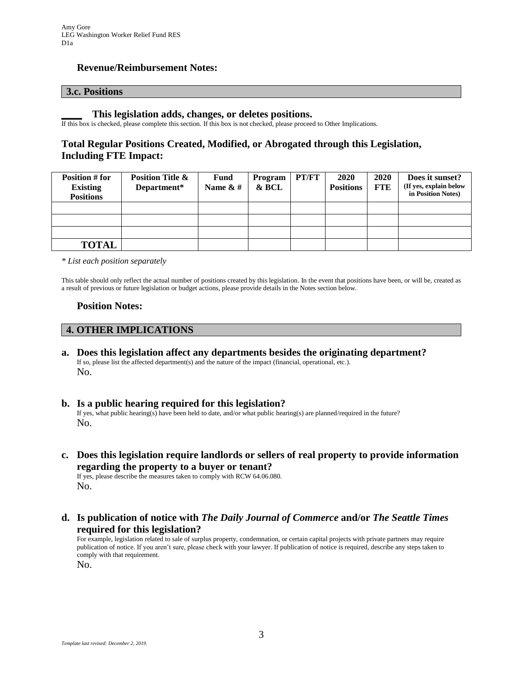## **Revenue/Reimbursement Notes:**

#### **3.c. Positions**

#### **\_\_\_\_ This legislation adds, changes, or deletes positions.**

If this box is checked, please complete this section. If this box is not checked, please proceed to Other Implications.

# **Total Regular Positions Created, Modified, or Abrogated through this Legislation, Including FTE Impact:**

| Position # for<br><b>Existing</b><br><b>Positions</b> | <b>Position Title &amp;</b><br>Department* | <b>Fund</b><br>Name $\&$ # | Program<br>& BCL | PT/FT | 2020<br><b>Positions</b> | <b>2020</b><br><b>FTE</b> | Does it sunset?<br>(If yes, explain below<br>in Position Notes) |
|-------------------------------------------------------|--------------------------------------------|----------------------------|------------------|-------|--------------------------|---------------------------|-----------------------------------------------------------------|
|                                                       |                                            |                            |                  |       |                          |                           |                                                                 |
|                                                       |                                            |                            |                  |       |                          |                           |                                                                 |
|                                                       |                                            |                            |                  |       |                          |                           |                                                                 |
| <b>TOTAL</b>                                          |                                            |                            |                  |       |                          |                           |                                                                 |

*\* List each position separately*

This table should only reflect the actual number of positions created by this legislation. In the event that positions have been, or will be, created as a result of previous or future legislation or budget actions, please provide details in the Notes section below.

### **Position Notes:**

## **4. OTHER IMPLICATIONS**

- **a. Does this legislation affect any departments besides the originating department?** If so, please list the affected department(s) and the nature of the impact (financial, operational, etc.). No.
- **b. Is a public hearing required for this legislation?** If yes, what public hearing(s) have been held to date, and/or what public hearing(s) are planned/required in the future? No.
- **c. Does this legislation require landlords or sellers of real property to provide information regarding the property to a buyer or tenant?** If yes, please describe the measures taken to comply with RCW 64.06.080. No.
- **d. Is publication of notice with** *The Daily Journal of Commerce* **and/or** *The Seattle Times* **required for this legislation?**

For example, legislation related to sale of surplus property, condemnation, or certain capital projects with private partners may require publication of notice. If you aren't sure, please check with your lawyer. If publication of notice is required, describe any steps taken to comply with that requirement.

No.